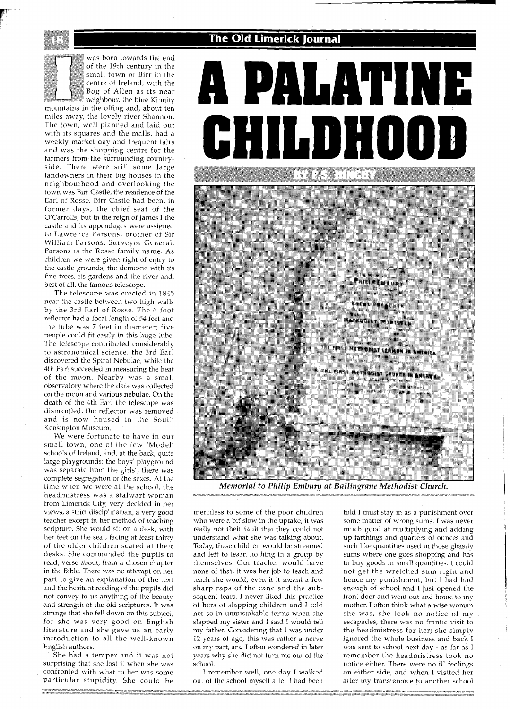## The Old Limerick Journal

was born towards the end of the 19th century in the small town of Birr in the centre of Ireland, with the Bog of Allen as its near neighbour, the blue Kinnity mountains in the offing and, about ten miles away, the lovely river Shannon. The town, well planned and laid out with its squares and the malls, had a weekly market day and frequent falrs and was the shopping centre for the farmers from the surrounding countryside. There were still some large landowners in their big houses in the neighbourhood and overlooklng the town was Blrr Castle, the residence of the Earl of Rosse. Blrr Castle had been, In former days, the chief seat of the O'Carrolls, but in the reign of James I the castle and its appendages were assigned to Lawrence Parsons, brother of Sir William Parsons, Surveyor-General Parsons is the Rosse family name. As children we were given right of entry to the castle grounds, the demesne with its fine trees, its gardens and the river and, best of all, the famous telescope

The telescope was erected in 1845 near the castle between two high walls by the 3rd Earl of Rosse The 6-foot reflector had a focal length of 54 feet and the tube was 7 feet in diameter, five people could fit easily in this huge tube. The telescope contributed considerably to astronomical science, the 3rd Earl discovered the Spiral Nebulae, while the 4th Earl succeeded in measuring the heat of the moon. Nearby was a small observatory where the data was collected on the moon and various nebulae On the death of the 4th Earl the telescope was dismantled, the reflector was removed and is now housed In the South Kensington Museum

We were fortunate to have in our small town, one of the few 'Model' schools of Ireland, and, at the back, quite large playgrounds; the boys' playground was separate from the girls'; there was complete segregation of the sexes. At the time when we were at the school, the headmistress was a stalwart woman from Limerick City, very decided in her views, a strict disciplinarian, a very good teacher except in her method of teaching scripture. She would sit on a desk, with her feet on the seat, facing at least thirty of the older chlldren seated at their desks. She commanded the pupils to read, verse about, from a chosen chapter in the Bible. There was no attempt on her part to give an explanation of the text and the hesitant reading of the pupils did not convey to us anything of the beauty and strength of the old scriptures. It was strange that she fell down on this subject, for she was very good on English literature and she gave us an early introduction to all the well-known English authors

She had a temper and it was not surprising that she lost it when she was confronted with what to her was some particular stupidity. She could be



*Memorial to Philip Embuy at Ballingrane Methodist Church.* 

merciless to some of the poor children who were a bif slow in the uptake, it was really not their fault that they could not understand what she was talking about Today, these children would be streamed and left to learn nothing in a group by themselves. Our teacher would have none of that, it was her job to teach and teach she would, even if it meant a few sharp raps of the cane and the subsequent tears. I never liked this practice of hers of slapping chlldren and I told her so in unmistakable terms when she slapped my slster and I said I would tell my father. Considering that I was under 12 years of age, this was rather a nerve on my part, and I often wondered in later years why she did not turn me out of the school

I remember well, one day I walked out of the school myself after I had been

told I must stay in as a punishment over some matter of wrong sums. I was never much good at multiplying and adding up farthings and quarters of ounces and such like quantities used in those ghastly sums where one goes shopping and has to buy goods in small quantities. I could not get the wretched sum right and hence my punishment, but I had had enough of school and I just opened the front door and went out and home to my mother. I often think what a wise woman she was, she took no notice of my escapades, there was no frantic visit to the headmistress for her; she simply ignored the whole business and back I was sent to school next day - as far as I remember the headmistress took no notice either. There were no ill feelings on either side, and when I visited her after my transference to another school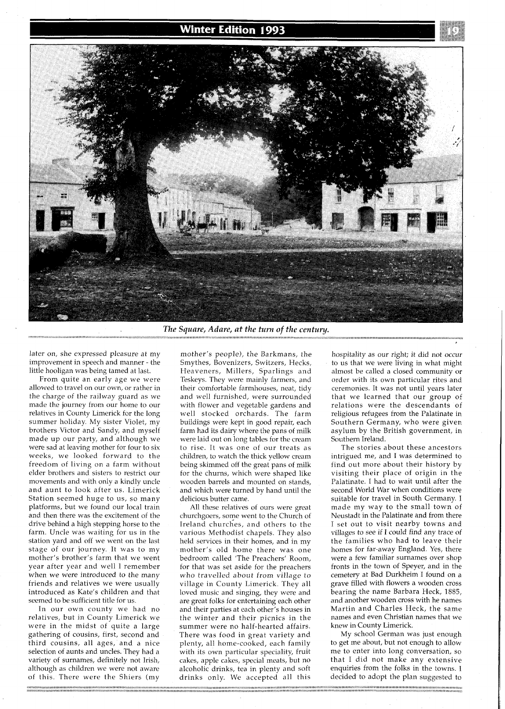## **Winter Edition 1993**



The Square, Adare, at the turn of the century.

later on, she expressed pleasure at my improvement in speech and manner - the little hooligan was being tamed at last.

From quite an early age we were allowed to travel on our own, or rather in the charge of the railway guard as we made the journey from our home to our relatives in County Limerick for the long summer holiday. My sister Violet, my brothers Victor and Sandy, and myself made up our party, and although we were sad at leaving mother for four to six weeks, we looked forward to the freedom of living on a farm without elder brothers and sisters to restrict our movements and with only a kindly uncle and aunt to look after us. Limerick Station seemed huge to us, so many platforms, but we found our local train and then there was the excitement of the drive behind a high stepping horse to the farm. Uncle was waiting for us in the station yard and off we went on the last stage of our journey. It was to my mother's brother's farm that we went year after year and well I remember when we were introduced to the many friends and relatives we were usually introduced as Kate's children and that seemed to be sufficient title for us.

In our own county we had no relatives, but in County Limerick we were in the midst of quite a large gathering of cousins, first, second and third cousins, all ages, and a nice selection of aunts and uncles. They had a variety of surnames, definitely not Irish, although as children we were not aware of this. There were the Shiers (my

mother's people), the Barkmans, the Smythes, Bovenizers, Switzers, Hecks, Heaveners, Millers, Sparlings and Teskeys. They were mainly farmers, and their comfortable farmhouses, neat, tidy and well furnished, were surrounded with flower and vegetable gardens and well stocked orchards. The farm buildings were kept in good repair, each farm had its dairy where the pans of milk were laid out on long tables for the cream to rise. It was one of our treats as children, to watch the thick yellow cream being skimmed off the great pans of milk for the churns, which were shaped like wooden barrels and mounted on stands, and which were turned by hand until the delicious butter came.

All these relatives of ours were great churchgoers, some went to the Church of Ireland churches, and others to the various Methodist chapels. They also held services in their homes, and in my mother's old home there was one bedroom called 'The Preachers' Room, for that was set aside for the preachers who travelled about from village to village in County Limerick. They all loved music and singing, they were and are great folks for entertaining each other and their parties at each other's houses in the winter and their picnics in the summer were no half-hearted affairs. There was food in great variety and plenty, all home-cooked, each family with its own particular speciality, fruit cakes, apple cakes, special meats, but no alcoholic drinks, tea in plenty and soft drinks only. We accepted all this

hospitality as our right; it did not occur to us that we were living in what might almost be called a closed community or order with its own particular rites and ceremonies. It was not until years later that we learned that our group of relations were the descendants of religious refugees from the Palatinate in Southern Germany, who were given asylum by the British government, in Southern Ireland.

The stories about these ancestors intrigued me, and I was determined to find out more about their history by visiting their place of origin in the Palatinate. I had to wait until after the second World War when conditions were suitable for travel in South Germany. I made my way to the small town of Neustadt in the Palatinate and from there I set out to visit nearby towns and villages to see if I could find any trace of the families who had to leave their homes for far-away England. Yes, there were a few familiar surnames over shop fronts in the town of Speyer, and in the cemetery at Bad Durkheim I found on a grave filled with flowers a wooden cross bearing the name Barbara Heck, 1885, and another wooden cross with he names Martin and Charles Heck, the same names and even Christian names that we knew in County Limerick.

My school German was just enough to get me about, but not enough to allow me to enter into long conversation, so that I did not make any extensive enquiries from the folks in the towns. I decided to adopt the plan suggested to